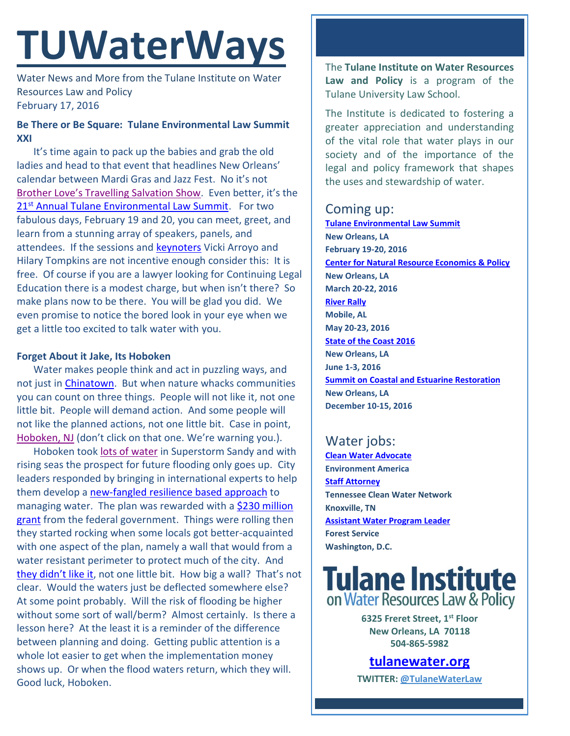# **TUWaterWays**

Water News and More from the Tulane Institute on Water Resources Law and Policy February 17, 2016

#### **Be There or Be Square: Tulane Environmental Law Summit XXI**

It's time again to pack up the babies and grab the old ladies and head to that event that headlines New Orleans' calendar between Mardi Gras and Jazz Fest. No it's not Brother Love'[s Travelling Salvation Show](https://www.youtube.com/watch?v=pMeqDJHAc0Q). Even better, it's the 21<sup>st</sup> [Annual Tulane Environmental Law Summit.](http://tulaneenvironmentallawsummit.com/) For two fabulous days, February 19 and 20, you can meet, greet, and learn from a stunning array of speakers, panels, and attendees. If the sessions and [keynoters](http://tulaneenvironmentallawsummit.com/the-panels/keynotes/) Vicki Arroyo and Hilary Tompkins are not incentive enough consider this: It is free. Of course if you are a lawyer looking for Continuing Legal Education there is a modest charge, but when isn't there? So make plans now to be there. You will be glad you did. We even promise to notice the bored look in your eye when we get a little too excited to talk water with you.

#### **Forget About it Jake, Its Hoboken**

Water makes people think and act in puzzling ways, and not just in *Chinatown*. But when nature whacks communities you can count on three things. People will not like it, not one little bit. People will demand action. And some people will not like the planned actions, not one little bit. Case in point, [Hoboken, NJ](https://www.youtube.com/watch?v=Bqzb7FUTk08) (don't click on that one. We're warning you.).

Hoboken too[k lots of water](https://www.youtube.com/watch?v=6Lbe9nTeCvs) in Superstorm Sandy and with rising seas the prospect for future flooding only goes up. City leaders responded by bringing in international experts to help them develop a [new-fangled resilience based approach](http://www.rebuildbydesign.org/project/comprehensive-strategy/) to managing water. The plan was rewarded with a \$230 million [grant](http://www.nytimes.com/2014/06/03/nyregion/hoboken-mayor-gets-us-flood-money-in-awkward-ceremony-with-christie.html) from the federal government. Things were rolling then they started rocking when some locals got better-acquainted with one aspect of the plan, namely a wall that would from a water resistant perimeter to protect much of the city. And [they didn't like it](http://www.nytimes.com/2016/02/08/nyregion/plan-to-flood-proof-hoboken-runs-into-a-wall.html?emc=edit_th_20160208&nl=todaysheadlines&nlid=16013392&_r=4&referer=), not one little bit. How big a wall? That's not clear. Would the waters just be deflected somewhere else? At some point probably. Will the risk of flooding be higher without some sort of wall/berm? Almost certainly. Is there a lesson here? At the least it is a reminder of the difference between planning and doing. Getting public attention is a whole lot easier to get when the implementation money shows up. Or when the flood waters return, which they will. Good luck, Hoboken.

The **Tulane Institute on Water Resources Law and Policy** is a program of the Tulane University Law School.

The Institute is dedicated to fostering a greater appreciation and understanding of the vital role that water plays in our society and of the importance of the legal and policy framework that shapes the uses and stewardship of water.

## Coming up:

**[Tulane Environmental Law Summit](http://tulaneenvironmentallawsummit.com/) New Orleans, LA February 19-20, 2016 [Center for Natural Resource Economics & Policy](http://www.cnrep.lsu.edu/2016/) New Orleans, LA March 20-22, 2016 [River Rally](https://www.rivernetwork.org/events-learning/river-rally/about/) Mobile, AL May 20-23, 2016 [State of the Coast 2016](http://stateofthecoast.org/) New Orleans, LA June 1-3, 2016 [Summit on Coastal and Estuarine Restoration](https://www.estuaries.org/images/NOLA_2016/2016-Summit-CFP_FINAL-011516.pdf) New Orleans, LA December 10-15, 2016**

# Water jobs:

**Clean [Water Advocate](http://jobs.environmentamerica.org/clean-water-advocate.html) Environment America [Staff Attorney](http://www.tcwn.org/job-opening-staff-attorney/) Tennessee Clean Water Network Knoxville, TN [Assistant Water Program Leader](http://www.fishwildlife.org/files/Assistant_Water_PL_Outreach_Jan2016.pdf) Forest Service Washington, D.C.**

# **Tulane Institute** on Water Resources Law & Policy

**6325 Freret Street, 1st Floor New Orleans, LA 70118 504-865-5982** 

### **[tulanewater.org](file:///C:/Users/waterlaw/Downloads/tulanewater.org)**

**TWITTER: [@TulaneWaterLaw](http://www.twitter.com/TulaneWaterLaw)**